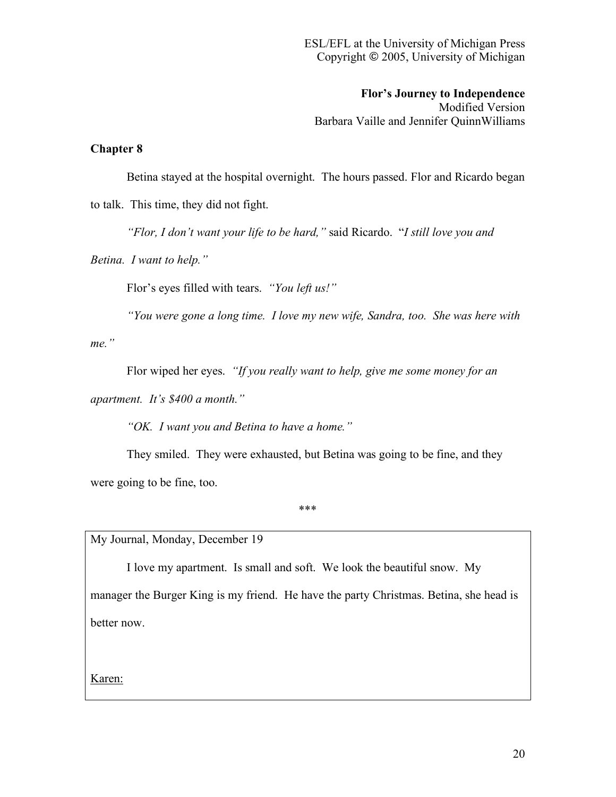**Flor's Journey to Independence**

Modified Version Barbara Vaille and Jennifer QuinnWilliams

## **Chapter 8**

Betina stayed at the hospital overnight. The hours passed. Flor and Ricardo began to talk. This time, they did not fight.

*"Flor, I don't want your life to be hard,"* said Ricardo. "*I still love you and* 

*Betina. I want to help."*

Flor's eyes filled with tears. *"You left us!"*

*"You were gone a long time. I love my new wife, Sandra, too. She was here with* 

*me."*

Flor wiped her eyes. *"If you really want to help, give me some money for an* 

*apartment. It's \$400 a month."*

*"OK. I want you and Betina to have a home."*

They smiled. They were exhausted, but Betina was going to be fine, and they were going to be fine, too.

\*\*\*

My Journal, Monday, December 19

I love my apartment. Is small and soft. We look the beautiful snow. My manager the Burger King is my friend. He have the party Christmas. Betina, she head is better now.

Karen: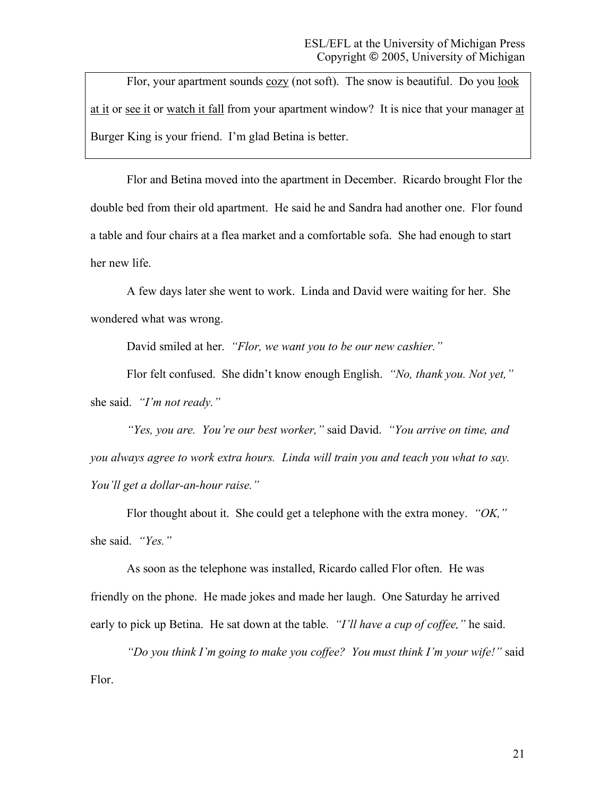Flor, your apartment sounds cozy (not soft). The snow is beautiful. Do you look at it or see it or watch it fall from your apartment window? It is nice that your manager at Burger King is your friend. I'm glad Betina is better.

Flor and Betina moved into the apartment in December. Ricardo brought Flor the double bed from their old apartment. He said he and Sandra had another one. Flor found a table and four chairs at a flea market and a comfortable sofa. She had enough to start her new life.

A few days later she went to work. Linda and David were waiting for her. She wondered what was wrong.

David smiled at her. *"Flor, we want you to be our new cashier."*

Flor felt confused. She didn't know enough English. *"No, thank you. Not yet,"* she said. *"I'm not ready."*

*"Yes, you are. You're our best worker,"* said David. *"You arrive on time, and you always agree to work extra hours. Linda will train you and teach you what to say. You'll get a dollar-an-hour raise."*

Flor thought about it. She could get a telephone with the extra money. *"OK,"* she said. *"Yes."*

As soon as the telephone was installed, Ricardo called Flor often. He was friendly on the phone. He made jokes and made her laugh. One Saturday he arrived early to pick up Betina. He sat down at the table. *"I'll have a cup of coffee,"* he said.

*"Do you think I'm going to make you coffee? You must think I'm your wife!"* said Flor.